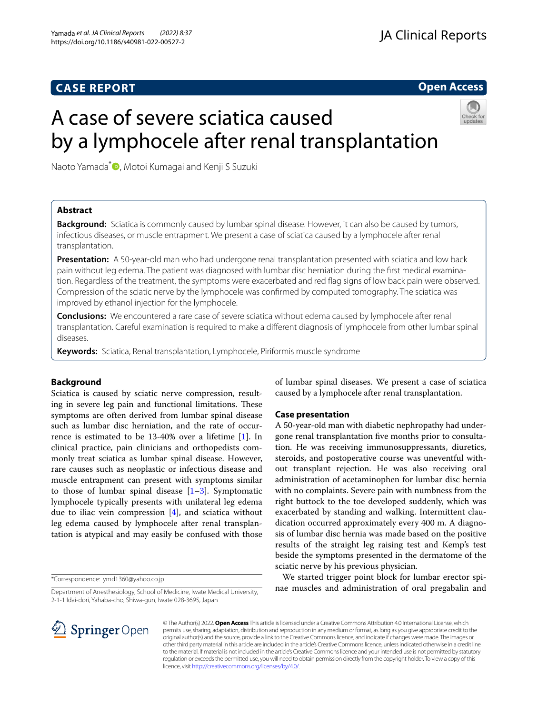## **CASE REPORT**

**Open Access**

# A case of severe sciatica caused by a lymphocele after renal transplantation

Naoto Yamada<sup>[\\*](http://orcid.org/0000-0003-0604-0727)</sup> D, Motoi Kumagai and Kenji S Suzuki

## **Abstract**

**Background:** Sciatica is commonly caused by lumbar spinal disease. However, it can also be caused by tumors, infectious diseases, or muscle entrapment. We present a case of sciatica caused by a lymphocele after renal transplantation.

**Presentation:** A 50-year-old man who had undergone renal transplantation presented with sciatica and low back pain without leg edema. The patient was diagnosed with lumbar disc herniation during the frst medical examination. Regardless of the treatment, the symptoms were exacerbated and red fag signs of low back pain were observed. Compression of the sciatic nerve by the lymphocele was confrmed by computed tomography. The sciatica was improved by ethanol injection for the lymphocele.

**Conclusions:** We encountered a rare case of severe sciatica without edema caused by lymphocele after renal transplantation. Careful examination is required to make a diferent diagnosis of lymphocele from other lumbar spinal diseases.

**Keywords:** Sciatica, Renal transplantation, Lymphocele, Piriformis muscle syndrome

## **Background**

Sciatica is caused by sciatic nerve compression, resulting in severe leg pain and functional limitations. These symptoms are often derived from lumbar spinal disease such as lumbar disc herniation, and the rate of occurrence is estimated to be 13-40% over a lifetime [\[1](#page-2-0)]. In clinical practice, pain clinicians and orthopedists commonly treat sciatica as lumbar spinal disease. However, rare causes such as neoplastic or infectious disease and muscle entrapment can present with symptoms similar to those of lumbar spinal disease  $[1-3]$  $[1-3]$ . Symptomatic lymphocele typically presents with unilateral leg edema due to iliac vein compression  $[4]$  $[4]$ , and sciatica without leg edema caused by lymphocele after renal transplantation is atypical and may easily be confused with those

\*Correspondence: ymd1360@yahoo.co.jp

Department of Anesthesiology, School of Medicine, Iwate Medical University, 2-1-1 Idai-dori, Yahaba-cho, Shiwa-gun, Iwate 028-3695, Japan



of lumbar spinal diseases. We present a case of sciatica caused by a lymphocele after renal transplantation.

## **Case presentation**

A 50-year-old man with diabetic nephropathy had undergone renal transplantation fve months prior to consultation. He was receiving immunosuppressants, diuretics, steroids, and postoperative course was uneventful without transplant rejection. He was also receiving oral administration of acetaminophen for lumbar disc hernia with no complaints. Severe pain with numbness from the right buttock to the toe developed suddenly, which was exacerbated by standing and walking. Intermittent claudication occurred approximately every 400 m. A diagnosis of lumbar disc hernia was made based on the positive results of the straight leg raising test and Kemp's test beside the symptoms presented in the dermatome of the sciatic nerve by his previous physician.

We started trigger point block for lumbar erector spinae muscles and administration of oral pregabalin and

© The Author(s) 2022. **Open Access** This article is licensed under a Creative Commons Attribution 4.0 International License, which permits use, sharing, adaptation, distribution and reproduction in any medium or format, as long as you give appropriate credit to the original author(s) and the source, provide a link to the Creative Commons licence, and indicate if changes were made. The images or other third party material in this article are included in the article's Creative Commons licence, unless indicated otherwise in a credit line to the material. If material is not included in the article's Creative Commons licence and your intended use is not permitted by statutory regulation or exceeds the permitted use, you will need to obtain permission directly from the copyright holder. To view a copy of this licence, visit [http://creativecommons.org/licenses/by/4.0/.](http://creativecommons.org/licenses/by/4.0/)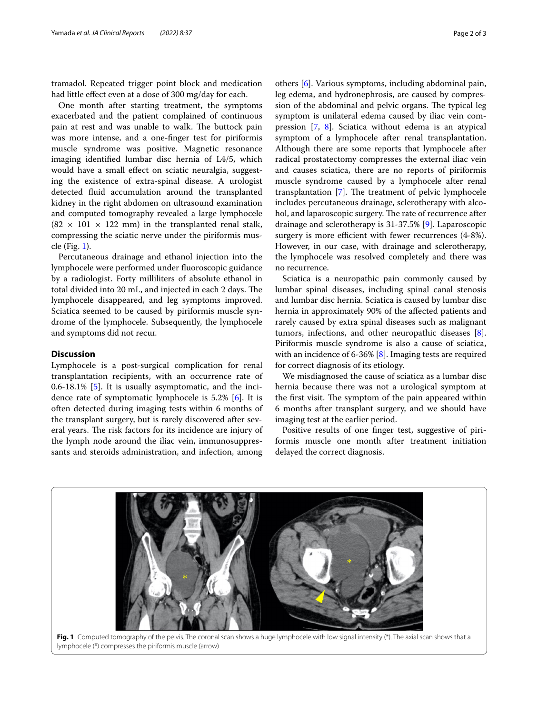tramadol. Repeated trigger point block and medication had little efect even at a dose of 300 mg/day for each.

One month after starting treatment, the symptoms exacerbated and the patient complained of continuous pain at rest and was unable to walk. The buttock pain was more intense, and a one-fnger test for piriformis muscle syndrome was positive. Magnetic resonance imaging identifed lumbar disc hernia of L4/5, which would have a small efect on sciatic neuralgia, suggesting the existence of extra-spinal disease. A urologist detected fuid accumulation around the transplanted kidney in the right abdomen on ultrasound examination and computed tomography revealed a large lymphocele  $(82 \times 101 \times 122 \text{ mm})$  in the transplanted renal stalk, compressing the sciatic nerve under the piriformis muscle (Fig. [1\)](#page-1-0).

Percutaneous drainage and ethanol injection into the lymphocele were performed under fuoroscopic guidance by a radiologist. Forty milliliters of absolute ethanol in total divided into 20 mL, and injected in each 2 days. The lymphocele disappeared, and leg symptoms improved. Sciatica seemed to be caused by piriformis muscle syndrome of the lymphocele. Subsequently, the lymphocele and symptoms did not recur.

#### **Discussion**

Lymphocele is a post-surgical complication for renal transplantation recipients, with an occurrence rate of 0.6-18.1% [\[5](#page-2-3)]. It is usually asymptomatic, and the incidence rate of symptomatic lymphocele is 5.2% [[6\]](#page-2-4). It is often detected during imaging tests within 6 months of the transplant surgery, but is rarely discovered after several years. The risk factors for its incidence are injury of the lymph node around the iliac vein, immunosuppressants and steroids administration, and infection, among

others [\[6](#page-2-4)]. Various symptoms, including abdominal pain, leg edema, and hydronephrosis, are caused by compression of the abdominal and pelvic organs. The typical leg symptom is unilateral edema caused by iliac vein compression [\[7](#page-2-5), [8](#page-2-6)]. Sciatica without edema is an atypical symptom of a lymphocele after renal transplantation. Although there are some reports that lymphocele after radical prostatectomy compresses the external iliac vein and causes sciatica, there are no reports of piriformis muscle syndrome caused by a lymphocele after renal transplantation  $[7]$  $[7]$ . The treatment of pelvic lymphocele includes percutaneous drainage, sclerotherapy with alcohol, and laparoscopic surgery. The rate of recurrence after drainage and sclerotherapy is 31-37.5% [[9\]](#page-2-7). Laparoscopic surgery is more efficient with fewer recurrences (4-8%). However, in our case, with drainage and sclerotherapy, the lymphocele was resolved completely and there was no recurrence.

Sciatica is a neuropathic pain commonly caused by lumbar spinal diseases, including spinal canal stenosis and lumbar disc hernia. Sciatica is caused by lumbar disc hernia in approximately 90% of the afected patients and rarely caused by extra spinal diseases such as malignant tumors, infections, and other neuropathic diseases [\[8](#page-2-6)]. Piriformis muscle syndrome is also a cause of sciatica, with an incidence of 6-36% [[8](#page-2-6)]. Imaging tests are required for correct diagnosis of its etiology.

We misdiagnosed the cause of sciatica as a lumbar disc hernia because there was not a urological symptom at the first visit. The symptom of the pain appeared within 6 months after transplant surgery, and we should have imaging test at the earlier period.

Positive results of one fnger test, suggestive of piriformis muscle one month after treatment initiation delayed the correct diagnosis.

<span id="page-1-0"></span>